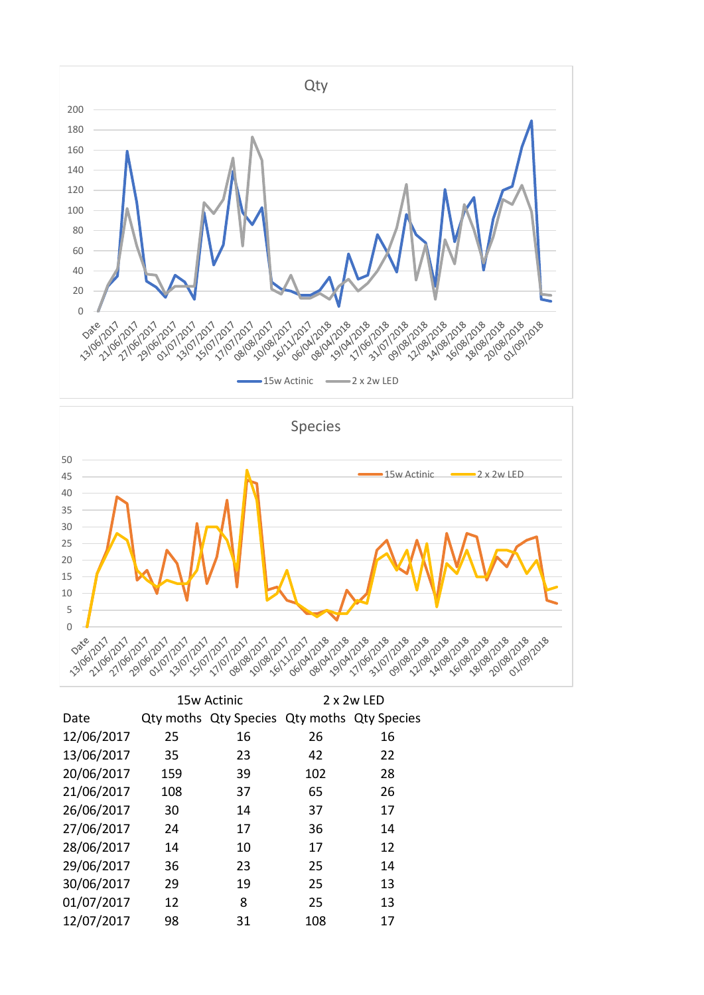



| 15w Actinic |    | 2 x 2w LED |                                             |
|-------------|----|------------|---------------------------------------------|
|             |    |            |                                             |
| 25          | 16 | 26         | 16                                          |
| 35          | 23 | 42         | 22                                          |
| 159         | 39 | 102        | 28                                          |
| 108         | 37 | 65         | 26                                          |
| 30          | 14 | 37         | 17                                          |
| 24          | 17 | 36         | 14                                          |
| 14          | 10 | 17         | 12                                          |
| 36          | 23 | 25         | 14                                          |
| 29          | 19 | 25         | 13                                          |
| 12          | 8  | 25         | 13                                          |
| 98          | 31 | 108        | 17                                          |
|             |    |            | Qty moths Qty Species Qty moths Qty Species |